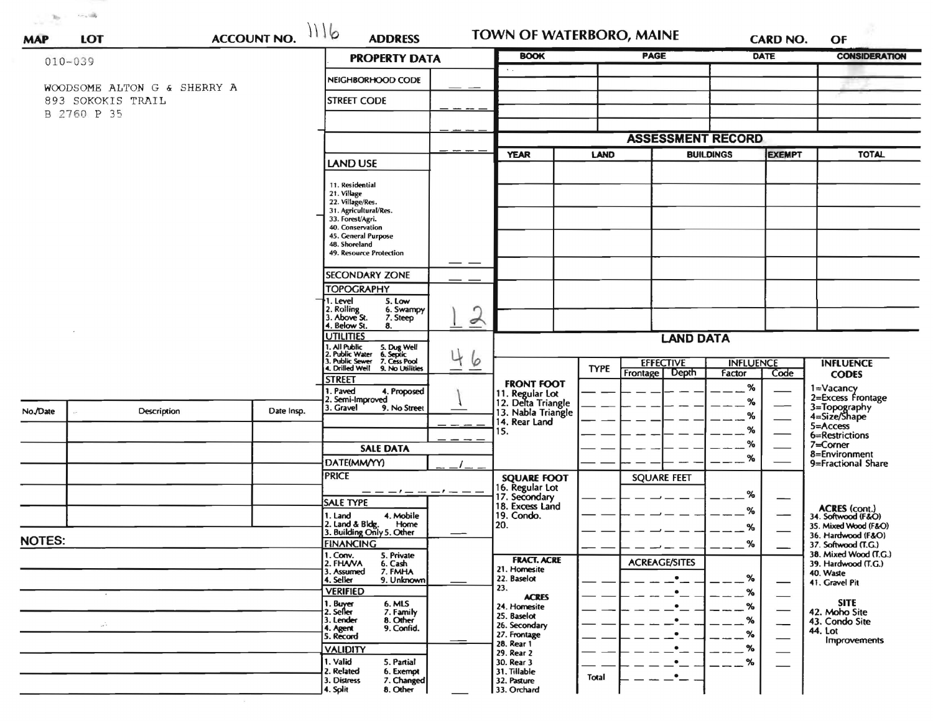| <b>ACCOUNT NO.</b><br>LOT<br><b>MAP</b> |                             |  |                                                                              | <b>PROPERTY DATA</b>                                      |   | <b>BOOK</b>                           |                  | <b>PAGE</b>              |        | DATE                     | <b>CONSIDERATION</b>                         |
|-----------------------------------------|-----------------------------|--|------------------------------------------------------------------------------|-----------------------------------------------------------|---|---------------------------------------|------------------|--------------------------|--------|--------------------------|----------------------------------------------|
|                                         | $010 - 039$                 |  |                                                                              |                                                           |   |                                       |                  |                          |        |                          |                                              |
|                                         | WOODSOME ALTON G & SHERRY A |  |                                                                              | NEIGHBORHOOD CODE                                         |   |                                       |                  |                          |        |                          |                                              |
|                                         | 893 SOKOKIS TRAIL           |  |                                                                              | <b>STREET CODE</b>                                        |   |                                       |                  |                          |        |                          |                                              |
|                                         | B 2760 P 35                 |  |                                                                              |                                                           |   |                                       |                  |                          |        |                          |                                              |
|                                         |                             |  |                                                                              |                                                           |   |                                       |                  | <b>ASSESSMENT RECORD</b> |        |                          |                                              |
|                                         |                             |  |                                                                              |                                                           |   | <b>YEAR</b>                           |                  | LAND<br><b>BUILDINGS</b> |        | <b>EXEMPT</b>            | <b>TOTAL</b>                                 |
|                                         |                             |  |                                                                              | <b>LAND USE</b>                                           |   |                                       |                  |                          |        |                          |                                              |
|                                         |                             |  |                                                                              | 11. Residential                                           |   |                                       |                  |                          |        |                          |                                              |
|                                         |                             |  |                                                                              | 21. Village<br>22. Village/Res.                           |   |                                       |                  |                          |        |                          |                                              |
|                                         |                             |  |                                                                              | 31. Agricultural/Res.<br>33. Forest/Agri.                 |   |                                       |                  |                          |        |                          |                                              |
|                                         |                             |  |                                                                              | 40. Conservation<br>45. General Purpose                   |   |                                       |                  |                          |        |                          |                                              |
|                                         |                             |  | 48. Shoreland<br>49. Resource Protection                                     |                                                           |   |                                       |                  |                          |        |                          |                                              |
|                                         |                             |  |                                                                              |                                                           |   |                                       |                  |                          |        |                          |                                              |
|                                         |                             |  |                                                                              | <b>SECONDARY ZONE</b>                                     |   |                                       |                  |                          |        |                          |                                              |
|                                         |                             |  |                                                                              | <b>TOPOGRAPHY</b><br>I. Level<br>5. Low                   |   |                                       |                  |                          |        |                          |                                              |
|                                         |                             |  |                                                                              | 2. Rolling<br>6. Swampy                                   |   |                                       |                  |                          |        |                          |                                              |
|                                         |                             |  | 3. Above St.<br>7. Steep<br>4. Below St.<br>8.                               | $\epsilon$                                                |   |                                       |                  |                          |        |                          |                                              |
|                                         |                             |  |                                                                              | <b>UTILITIES</b><br><b>LAND DATA</b><br>. All Public      |   |                                       |                  |                          |        |                          |                                              |
|                                         |                             |  | 5. Dug Well<br>6. Septic<br>7. Cess Pool<br>. Public Water<br>. Public Sewer | 6                                                         |   |                                       | <b>EFFECTIVE</b> | <b>INFLUENCE</b>         |        | <b>INFLUENCE</b>         |                                              |
|                                         |                             |  |                                                                              | 4. Drilled Well<br>9. No Utilities                        | — |                                       | <b>TYPE</b>      | Frontage Depth           | Factor | Code                     | <b>CODES</b>                                 |
|                                         |                             |  |                                                                              | <b>STREET</b><br>1. Paved<br>4. Proposed                  |   | <b>FRONT FOOT</b>                     |                  |                          | %      |                          | 1=Vacancy                                    |
|                                         |                             |  |                                                                              | 2. Semi-Improved<br>3. Gravel<br>9. No Street             |   | 11. Regular Lot<br>12. Delta Triangle |                  |                          | %      | $\overline{\phantom{0}}$ | 2=Excess Frontage                            |
| No./Date                                | Description                 |  | Date Insp.                                                                   |                                                           |   | 13. Nabla Triangle<br>14. Rear Land   |                  |                          | %      |                          | 3=Topography<br>4=Size/Shape                 |
|                                         |                             |  |                                                                              |                                                           |   | 15.                                   |                  |                          | %      |                          | 5=Access<br>6=Restrictions                   |
|                                         |                             |  |                                                                              | <b>SALE DATA</b>                                          |   |                                       |                  |                          | %      |                          | 7=Corner<br>8=Environment                    |
|                                         |                             |  |                                                                              | DATE(MM/YY)                                               |   |                                       |                  |                          | %      |                          | 9=Fractional Share                           |
|                                         |                             |  |                                                                              | <b>PRICE</b>                                              |   | <b>SQUARE FOOT</b>                    |                  | <b>SQUARE FEET</b>       |        |                          |                                              |
|                                         |                             |  |                                                                              | — — — ! — — — ! — —<br><b>SALE TYPE</b>                   |   | 16. Regular Lot<br>17. Secondary      |                  |                          | ℅      | —                        |                                              |
|                                         |                             |  |                                                                              | 4. Mobile<br>1. Land                                      |   | 18. Excess Land<br>19. Condo.         |                  |                          | ℅      |                          | <b>ACRES</b> (cont.)<br>34. Softwood (F&O)   |
|                                         |                             |  |                                                                              | 2. Land & Bldg. Home<br>3. Building Only 5. Other<br>Home |   | 20.                                   |                  |                          | %      |                          | 35. Mixed Wood (F&O)                         |
| <b>NOTES:</b>                           |                             |  |                                                                              | <b>FINANCING</b>                                          |   |                                       |                  |                          | $\%$   |                          | 36. Hardwood (F&O)<br>37. Softwood (T.G.)    |
|                                         |                             |  |                                                                              | 1. Conv.<br>5. Private<br>2. FHAVA<br>6. Cash             |   | <b>FRACT. ACRE</b>                    |                  | <b>ACREAGE/SITES</b>     |        |                          | 38. Mixed Wood (T.G.)<br>39. Hardwood (T.G.) |
|                                         |                             |  |                                                                              | 3. Assumed<br>7. FMHA<br>4. Seller<br>9. Unknown          |   | 21. Homesite<br>22. Baselot           |                  |                          | %      |                          | 40. Waste                                    |
|                                         |                             |  |                                                                              | <b>VERIFIED</b>                                           |   | 23.                                   |                  | $\bullet$                | %      |                          | 41. Gravel Pit                               |
|                                         |                             |  |                                                                              | 1. Buyer<br>6. MLS                                        |   | <b>ACRES</b><br>24. Homesite          |                  |                          | %      | —                        | <b>SITE</b>                                  |
| $\sim$                                  |                             |  |                                                                              | 2. Seller<br>7. Family<br>8. Other<br>3. Lender           |   | 25. Baselot<br>26. Secondary          |                  | $\bullet$                | %      | --                       | 42. Moho Site<br>43. Condo Site              |
|                                         |                             |  |                                                                              | 9. Confid.<br>4. Agent<br>5. Record                       |   | 27. Frontage                          |                  | $\bullet$                | %      |                          | 44. Lot<br><b>Improvements</b>               |
|                                         |                             |  |                                                                              | <b>VALIDITY</b>                                           |   | 28. Rear 1<br>29. Rear 2              |                  | $\bullet$                | %      |                          |                                              |
|                                         |                             |  |                                                                              | 1. Valid<br>5. Partial<br>2. Related                      |   | 30. Rear 3                            |                  |                          | %      |                          |                                              |
|                                         |                             |  |                                                                              | 6. Exempt<br>7. Changed<br>3. Distress                    |   | 31. Tillable<br>32. Pasture           | <b>Total</b>     | $\bullet$                |        |                          |                                              |
|                                         |                             |  |                                                                              | 8. Other<br>4. Split                                      |   | 33. Orchard                           |                  |                          |        |                          |                                              |